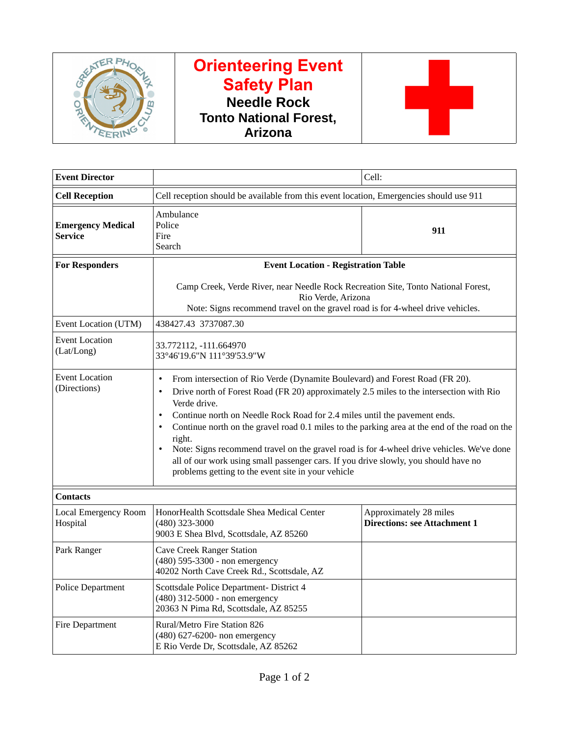

# **Orienteering Event Safety Plan Needle Rock Tonto National Forest, Arizona**



| <b>Event Director</b>                   | Cell:                                                                                                                                                                                                                                                                                                                                                                                                                                                                                                                                                                                                                                                            |                                                               |  |
|-----------------------------------------|------------------------------------------------------------------------------------------------------------------------------------------------------------------------------------------------------------------------------------------------------------------------------------------------------------------------------------------------------------------------------------------------------------------------------------------------------------------------------------------------------------------------------------------------------------------------------------------------------------------------------------------------------------------|---------------------------------------------------------------|--|
| <b>Cell Reception</b>                   | Cell reception should be available from this event location, Emergencies should use 911                                                                                                                                                                                                                                                                                                                                                                                                                                                                                                                                                                          |                                                               |  |
| <b>Emergency Medical</b><br>Service     | Ambulance<br>Police<br>Fire<br>Search                                                                                                                                                                                                                                                                                                                                                                                                                                                                                                                                                                                                                            | 911                                                           |  |
| <b>For Responders</b>                   | <b>Event Location - Registration Table</b>                                                                                                                                                                                                                                                                                                                                                                                                                                                                                                                                                                                                                       |                                                               |  |
|                                         | Camp Creek, Verde River, near Needle Rock Recreation Site, Tonto National Forest,<br>Rio Verde, Arizona<br>Note: Signs recommend travel on the gravel road is for 4-wheel drive vehicles.                                                                                                                                                                                                                                                                                                                                                                                                                                                                        |                                                               |  |
| Event Location (UTM)                    | 438427.43 3737087.30                                                                                                                                                                                                                                                                                                                                                                                                                                                                                                                                                                                                                                             |                                                               |  |
| <b>Event Location</b><br>(Lat/Long)     | 33.772112, -111.664970<br>33°46'19.6"N 111°39'53.9"W                                                                                                                                                                                                                                                                                                                                                                                                                                                                                                                                                                                                             |                                                               |  |
| <b>Event Location</b><br>(Directions)   | From intersection of Rio Verde (Dynamite Boulevard) and Forest Road (FR 20).<br>$\bullet$<br>Drive north of Forest Road (FR 20) approximately 2.5 miles to the intersection with Rio<br>$\bullet$<br>Verde drive.<br>Continue north on Needle Rock Road for 2.4 miles until the pavement ends.<br>$\bullet$<br>Continue north on the gravel road 0.1 miles to the parking area at the end of the road on the<br>right.<br>Note: Signs recommend travel on the gravel road is for 4-wheel drive vehicles. We've done<br>all of our work using small passenger cars. If you drive slowly, you should have no<br>problems getting to the event site in your vehicle |                                                               |  |
| <b>Contacts</b>                         |                                                                                                                                                                                                                                                                                                                                                                                                                                                                                                                                                                                                                                                                  |                                                               |  |
| <b>Local Emergency Room</b><br>Hospital | HonorHealth Scottsdale Shea Medical Center<br>(480) 323-3000<br>9003 E Shea Blvd, Scottsdale, AZ 85260                                                                                                                                                                                                                                                                                                                                                                                                                                                                                                                                                           | Approximately 28 miles<br><b>Directions: see Attachment 1</b> |  |
| Park Ranger                             | <b>Cave Creek Ranger Station</b><br>(480) 595-3300 - non emergency<br>40202 North Cave Creek Rd., Scottsdale, AZ                                                                                                                                                                                                                                                                                                                                                                                                                                                                                                                                                 |                                                               |  |
| <b>Police Department</b>                | Scottsdale Police Department- District 4<br>(480) 312-5000 - non emergency<br>20363 N Pima Rd, Scottsdale, AZ 85255                                                                                                                                                                                                                                                                                                                                                                                                                                                                                                                                              |                                                               |  |
| Fire Department                         | Rural/Metro Fire Station 826<br>(480) 627-6200- non emergency<br>E Rio Verde Dr, Scottsdale, AZ 85262                                                                                                                                                                                                                                                                                                                                                                                                                                                                                                                                                            |                                                               |  |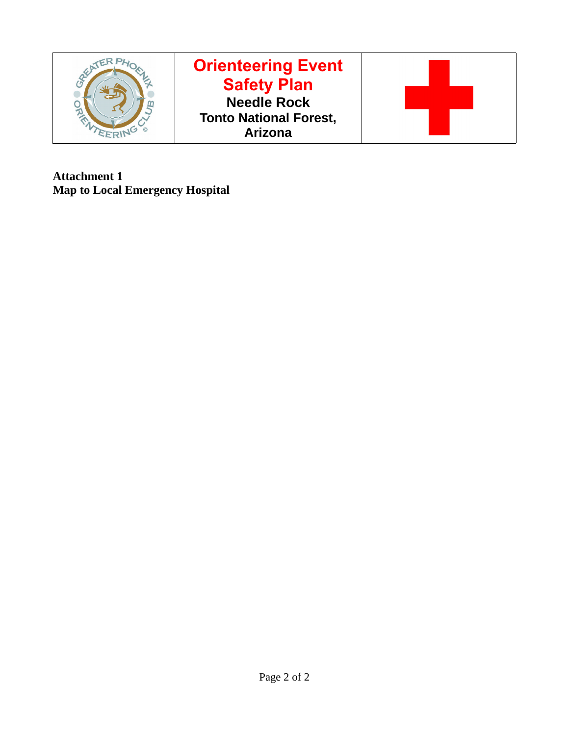

**Attachment 1 Map to Local Emergency Hospital**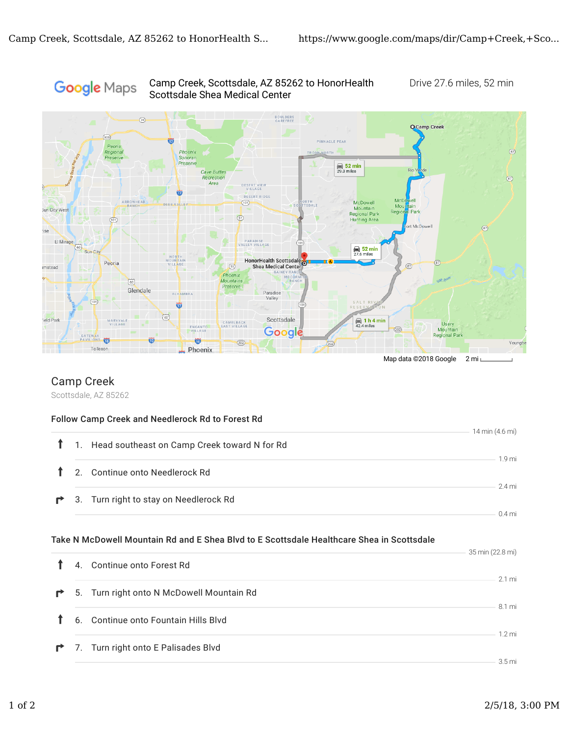#### Camp Creek, Scottsdale, AZ 85262 to HonorHealth Drive 27.6 miles, 52 min Google Maps Scottsdale Shea Medical Center



## Camp Creek

Scottsdale, AZ 85262

#### Follow Camp Creek and Needlerock Rd to Forest Rd

| $\mathbf{r}$ |                | 1. Head southeast on Camp Creek toward N for Rd                                           | 14 min (4.6 mi)    |
|--------------|----------------|-------------------------------------------------------------------------------------------|--------------------|
|              |                | 2. Continue onto Needlerock Rd                                                            | 1.9 mi             |
| $\mathbf{r}$ |                | 3. Turn right to stay on Needlerock Rd                                                    | 2.4 mi<br>$0.4$ mi |
|              |                | Take N McDowell Mountain Rd and E Shea Blvd to E Scottsdale Healthcare Shea in Scottsdale | 35 min (22.8 mi)   |
|              | $\overline{A}$ | Continue onto Forest Rd                                                                   |                    |

|              |                                             | $2.1 \text{ mi}$  |
|--------------|---------------------------------------------|-------------------|
|              | ↑ 5. Turn right onto N McDowell Mountain Rd |                   |
|              |                                             | 81 mi             |
| $\mathbf{T}$ | 6. Continue onto Fountain Hills Blvd        |                   |
|              |                                             | 1 2 mi            |
|              | 7. Turn right onto E Palisades Blvd         |                   |
|              |                                             | 3.5 <sub>mi</sub> |